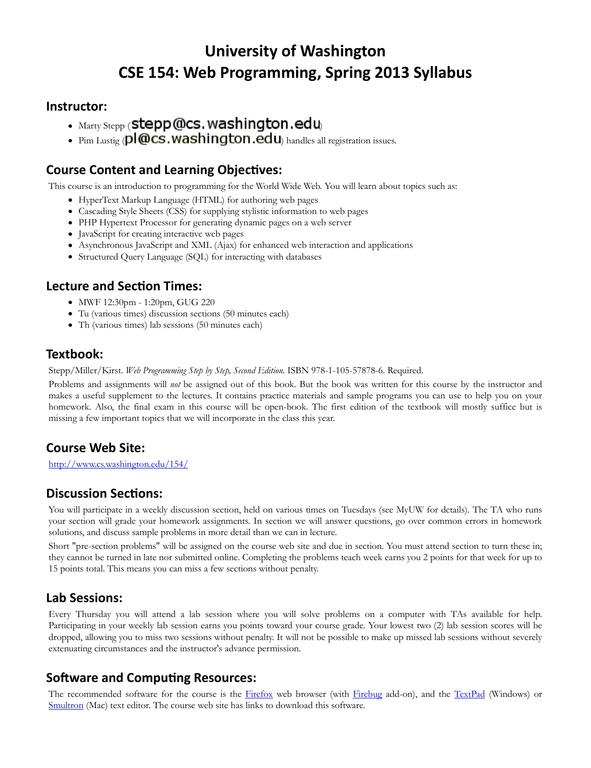# University of Washington CSE 154: Web Programming, Spring 2013 Syllabus

#### Instructor:

- $\bullet$  Marty Stepp (Stepp @cs. washington.edu
- Pim Lustig (pl@cs.washington.edu) handles all registration issues.

#### Course Content and Learning Objectives:

This course is an introduction to programming for the World Wide Web. You will learn about topics such as:

- HyperText Markup Language (HTML) for authoring web pages
- Cascading Style Sheets (CSS) for supplying stylistic information to web pages
- PHP Hypertext Processor for generating dynamic pages on a web server
- JavaScript for creating interactive web pages
- Asynchronous JavaScript and XML (Ajax) for enhanced web interaction and applications
- Structured Query Language (SQL) for interacting with databases

### Lecture and Section Times:

- MWF 12:30pm 1:20pm, GUG 220
- Tu (various times) discussion sections (50 minutes each)
- Th (various times) lab sessions (50 minutes each)

#### Textbook:

Stepp/Miller/Kirst. Web Programming Step by Step, Second Edition. ISBN 978-1-105-57878-6. Required.

Problems and assignments will not be assigned out of this book. But the book was written for this course by the instructor and makes a useful supplement to the lectures. It contains practice materials and sample programs you can use to help you on your homework. Also, the final exam in this course will be open-book. The first edition of the textbook will mostly suffice but is missing a few important topics that we will incorporate in the class this year.

# Course Web Site:

http://www.cs.washington.edu/154/

# **Discussion Sections:**

You will participate in a weekly discussion section, held on various times on Tuesdays (see MyUW for details). The TA who runs your section will grade your homework assignments. In section we will answer questions, go over common errors in homework solutions, and discuss sample problems in more detail than we can in lecture.

Short "pre-section problems" will be assigned on the course web site and due in section. You must attend section to turn these in; they cannot be turned in late nor submitted online. Completing the problems teach week earns you 2 points for that week for up to 15 points total. This means you can miss a few sections without penalty.

#### Lab Sessions:

Every Thursday you will attend a lab session where you will solve problems on a computer with TAs available for help. Participating in your weekly lab session earns you points toward your course grade. Your lowest two (2) lab session scores will be dropped, allowing you to miss two sessions without penalty. It will not be possible to make up missed lab sessions without severely extenuating circumstances and the instructor's advance permission.

#### Software and Computing Resources:

The recommended software for the course is the Firefox web browser (with Firebug add-on), and the TextPad (Windows) or Smultron (Mac) text editor. The course web site has links to download this software.